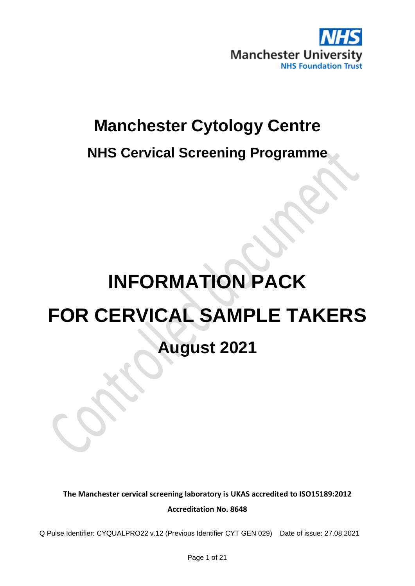

## **Manchester Cytology Centre**

**NHS Cervical Screening Programme**

# **INFORMATION PACK FOR CERVICAL SAMPLE TAKERS August 2021**

**The Manchester cervical screening laboratory is UKAS accredited to ISO15189:2012 Accreditation No. 8648**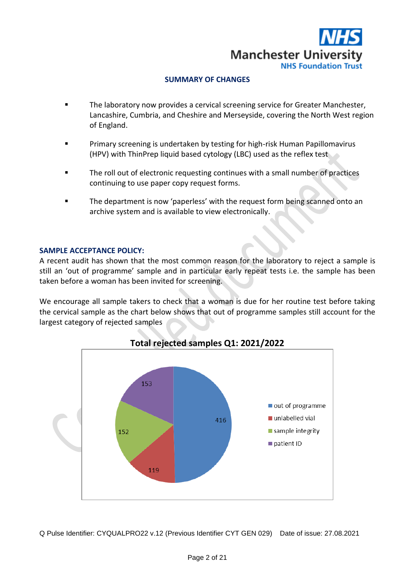

#### **SUMMARY OF CHANGES**

- The laboratory now provides a cervical screening service for Greater Manchester, Lancashire, Cumbria, and Cheshire and Merseyside, covering the North West region of England.
- Primary screening is undertaken by testing for high-risk Human Papillomavirus (HPV) with ThinPrep liquid based cytology (LBC) used as the reflex test
- The roll out of electronic requesting continues with a small number of practices continuing to use paper copy request forms.
- The department is now 'paperless' with the request form being scanned onto an archive system and is available to view electronically.

#### **SAMPLE ACCEPTANCE POLICY:**

A recent audit has shown that the most common reason for the laboratory to reject a sample is still an 'out of programme' sample and in particular early repeat tests i.e. the sample has been taken before a woman has been invited for screening.

We encourage all sample takers to check that a woman is due for her routine test before taking the cervical sample as the chart below shows that out of programme samples still account for the largest category of rejected samples



**Total rejected samples Q1: 2021/2022**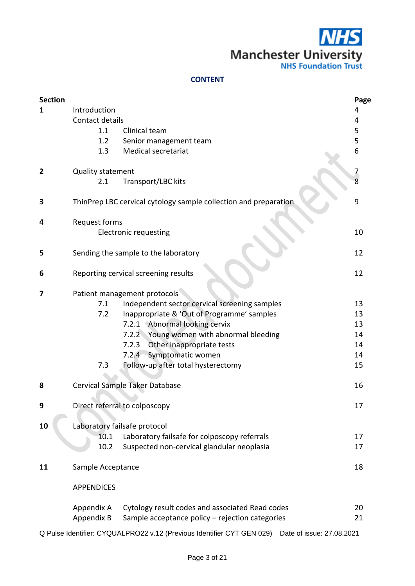$\overline{15}$ **Manchester University** 

#### **CONTENT**

| <b>Section</b> |                   |                                                                  | Page           |
|----------------|-------------------|------------------------------------------------------------------|----------------|
| 1              | Introduction      |                                                                  | 4              |
|                | Contact details   |                                                                  | 4              |
|                | 1.1               | Clinical team                                                    | 5              |
|                | 1.2               | Senior management team                                           | 5              |
|                | 1.3               | Medical secretariat                                              | 6              |
| $\mathbf{2}$   | Quality statement |                                                                  | $\overline{z}$ |
|                | 2.1               | Transport/LBC kits                                               |                |
| 3              |                   | ThinPrep LBC cervical cytology sample collection and preparation | 9              |
| 4              | Request forms     |                                                                  |                |
|                |                   | <b>Electronic requesting</b>                                     | 10             |
| 5              |                   | Sending the sample to the laboratory                             | 12             |
| 6              |                   | Reporting cervical screening results                             | 12             |
| 7              |                   | Patient management protocols                                     |                |
|                | 7.1               | Independent sector cervical screening samples                    | 13             |
|                | 7.2               | Inappropriate & 'Out of Programme' samples                       | 13             |
|                |                   | 7.2.1 Abnormal looking cervix                                    | 13             |
|                |                   | 7.2.2 Young women with abnormal bleeding                         | 14             |
|                |                   | 7.2.3<br>Other inappropriate tests                               | 14             |
|                |                   | Symptomatic women<br>$7.2.4 -$                                   | 14             |
|                | 7.3               | Follow-up after total hysterectomy                               | 15             |
| 8              |                   | Cervical Sample Taker Database                                   | 16             |
|                |                   |                                                                  |                |
| 9              |                   | Direct referral to colposcopy                                    | 17             |
| 10             |                   | Laboratory failsafe protocol                                     |                |
|                | 10.1              | Laboratory failsafe for colposcopy referrals                     | 17             |
|                | 10.2              | Suspected non-cervical glandular neoplasia                       | 17             |
| 11             | Sample Acceptance |                                                                  | 18             |
|                | <b>APPENDICES</b> |                                                                  |                |
|                | Appendix A        | Cytology result codes and associated Read codes                  | 20             |
|                | Appendix B        | Sample acceptance policy - rejection categories                  | 21             |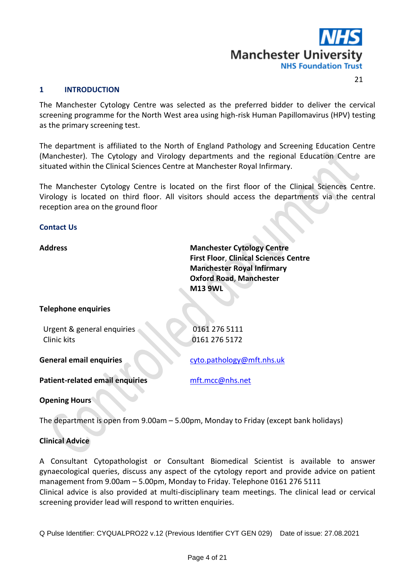

21

#### **1 INTRODUCTION**

The Manchester Cytology Centre was selected as the preferred bidder to deliver the cervical screening programme for the North West area using high-risk Human Papillomavirus (HPV) testing as the primary screening test.

The department is affiliated to the North of England Pathology and Screening Education Centre (Manchester). The Cytology and Virology departments and the regional Education Centre are situated within the Clinical Sciences Centre at Manchester Royal Infirmary.

The Manchester Cytology Centre is located on the first floor of the Clinical Sciences Centre. Virology is located on third floor. All visitors should access the departments via the central reception area on the ground floor

#### **Contact Us**

Address **Manchester Cytology Centre First Floor**, **Clinical Sciences Centre Manchester Royal Infirmary Oxford Road**, **Manchester M13 9WL**

#### **Telephone enquiries**

| Urgent & general enquiries<br>Clinic kits | 0161 276 5111<br>0161 276 5172 |
|-------------------------------------------|--------------------------------|
| <b>General email enquiries</b>            | cyto.pathology@mft.nhs.uk      |
| <b>Patient-related email enquiries</b>    | mft.mcc@nhs.net                |
|                                           |                                |

#### **Opening Hours**

The department is open from 9.00am – 5.00pm, Monday to Friday (except bank holidays)

#### **Clinical Advice**

A Consultant Cytopathologist or Consultant Biomedical Scientist is available to answer gynaecological queries, discuss any aspect of the cytology report and provide advice on patient management from 9.00am – 5.00pm, Monday to Friday. Telephone 0161 276 5111 Clinical advice is also provided at multi-disciplinary team meetings. The clinical lead or cervical screening provider lead will respond to written enquiries.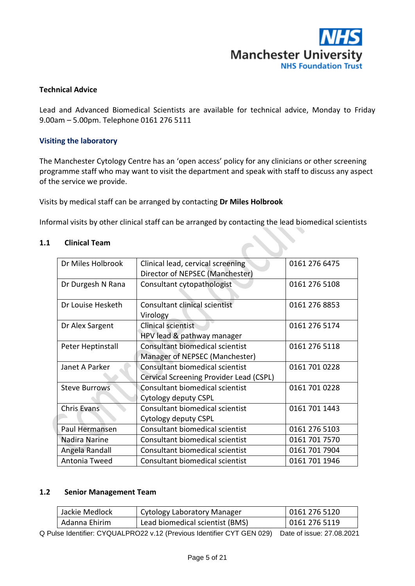

#### **Technical Advice**

Lead and Advanced Biomedical Scientists are available for technical advice, Monday to Friday 9.00am – 5.00pm. Telephone 0161 276 5111

#### **Visiting the laboratory**

The Manchester Cytology Centre has an 'open access' policy for any clinicians or other screening programme staff who may want to visit the department and speak with staff to discuss any aspect of the service we provide.

Visits by medical staff can be arranged by contacting **Dr Miles Holbrook**

Informal visits by other clinical staff can be arranged by contacting the lead biomedical scientists

| Dr Miles Holbrook    | Clinical lead, cervical screening       | 0161 276 6475 |
|----------------------|-----------------------------------------|---------------|
|                      | Director of NEPSEC (Manchester)         |               |
| Dr Durgesh N Rana    | Consultant cytopathologist              | 0161 276 5108 |
|                      |                                         |               |
| Dr Louise Hesketh    | Consultant clinical scientist           | 0161 276 8853 |
|                      | Virology                                |               |
| Dr Alex Sargent      | Clinical scientist                      | 0161 276 5174 |
|                      | HPV lead & pathway manager              |               |
| Peter Heptinstall    | Consultant biomedical scientist         | 0161 276 5118 |
|                      | Manager of NEPSEC (Manchester)          |               |
| Janet A Parker       | <b>Consultant biomedical scientist</b>  | 0161 701 0228 |
|                      | Cervical Screening Provider Lead (CSPL) |               |
| <b>Steve Burrows</b> | <b>Consultant biomedical scientist</b>  | 0161 701 0228 |
|                      | Cytology deputy CSPL                    |               |
| Chris Evans          | Consultant biomedical scientist         | 0161 701 1443 |
|                      | Cytology deputy CSPL                    |               |
| Paul Hermansen       | Consultant biomedical scientist         | 0161 276 5103 |
| Nadira Narine        | Consultant biomedical scientist         | 0161 701 7570 |
| Angela Randall       | Consultant biomedical scientist         | 0161 701 7904 |
| Antonia Tweed        | Consultant biomedical scientist         | 0161 701 1946 |

#### **1.1 Clinical Team**

#### **1.2 Senior Management Team**

| Jackie Medlock | Cytology Laboratory Manager     | 0161 276 5120 |
|----------------|---------------------------------|---------------|
| Adanna Ehirim  | Lead biomedical scientist (BMS) | 0161 276 5119 |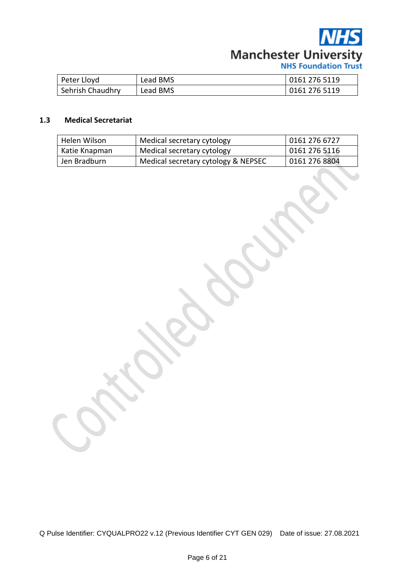

| Peter Lloyd      | Lead BMS | 0161 276 5119 |
|------------------|----------|---------------|
| Sehrish Chaudhry | Lead BMS | 0161 276 5119 |

#### **1.3 Medical Secretariat**

| Helen Wilson  | Medical secretary cytology          | 101612766727  |  |
|---------------|-------------------------------------|---------------|--|
| Katie Knapman | Medical secretary cytology          | 0161 276 5116 |  |
| Jen Bradburn  | Medical secretary cytology & NEPSEC | 0161 276 8804 |  |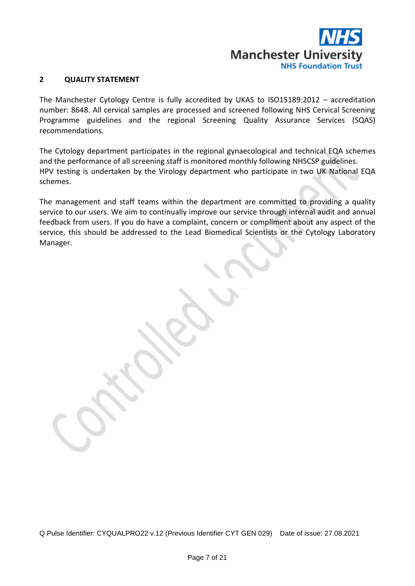

#### **2 QUALITY STATEMENT**

The Manchester Cytology Centre is fully accredited by UKAS to ISO15189:2012 – accreditation number: 8648. All cervical samples are processed and screened following NHS Cervical Screening Programme guidelines and the regional Screening Quality Assurance Services (SQAS) recommendations.

The Cytology department participates in the regional gynaecological and technical EQA schemes and the performance of all screening staff is monitored monthly following NHSCSP guidelines. HPV testing is undertaken by the Virology department who participate in two UK National EQA schemes.

The management and staff teams within the department are committed to providing a quality service to our users. We aim to continually improve our service through internal audit and annual feedback from users. If you do have a complaint, concern or compliment about any aspect of the service, this should be addressed to the Lead Biomedical Scientists or the Cytology Laboratory Manager.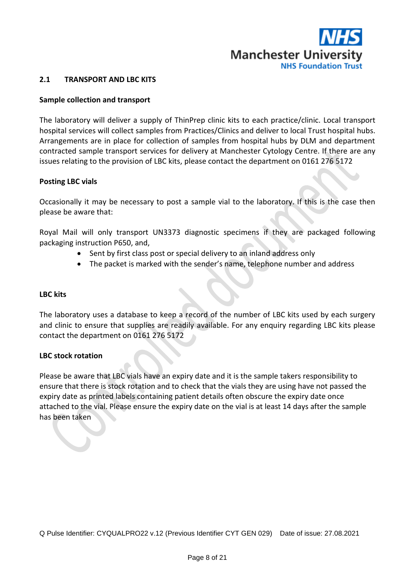

#### **2.1 TRANSPORT AND LBC KITS**

#### **Sample collection and transport**

The laboratory will deliver a supply of ThinPrep clinic kits to each practice/clinic. Local transport hospital services will collect samples from Practices/Clinics and deliver to local Trust hospital hubs. Arrangements are in place for collection of samples from hospital hubs by DLM and department contracted sample transport services for delivery at Manchester Cytology Centre. If there are any issues relating to the provision of LBC kits, please contact the department on 0161 276 5172

#### **Posting LBC vials**

Occasionally it may be necessary to post a sample vial to the laboratory. If this is the case then please be aware that:

Royal Mail will only transport UN3373 diagnostic specimens if they are packaged following packaging instruction P650, and,

- Sent by first class post or special delivery to an inland address only
- The packet is marked with the sender's name, telephone number and address

#### **LBC kits**

The laboratory uses a database to keep a record of the number of LBC kits used by each surgery and clinic to ensure that supplies are readily available. For any enquiry regarding LBC kits please contact the department on 0161 276 5172

#### **LBC stock rotation**

Please be aware that LBC vials have an expiry date and it is the sample takers responsibility to ensure that there is stock rotation and to check that the vials they are using have not passed the expiry date as printed labels containing patient details often obscure the expiry date once attached to the vial. Please ensure the expiry date on the vial is at least 14 days after the sample has been taken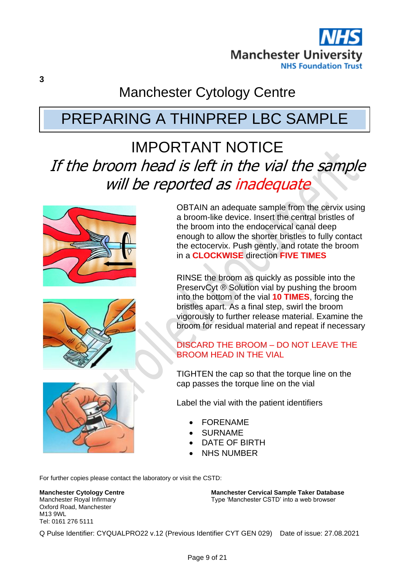

## Manchester Cytology Centre

## PREPARING A THINPREP LBC SAMPLE

## IMPORTANT NOTICE If the broom head is left in the vial the sample will be reported as inadequate







OBTAIN an adequate sample from the cervix using a broom-like device. Insert the central bristles of the broom into the endocervical canal deep enough to allow the shorter bristles to fully contact the ectocervix. Push gently, and rotate the broom in a **CLOCKWISE** direction **FIVE TIMES**

RINSE the broom as quickly as possible into the PreservCyt ® Solution vial by pushing the broom into the bottom of the vial **10 TIMES**, forcing the bristles apart. As a final step, swirl the broom vigorously to further release material. Examine the broom for residual material and repeat if necessary

#### DISCARD THE BROOM – DO NOT LEAVE THE BROOM HEAD IN THE VIAL

TIGHTEN the cap so that the torque line on the cap passes the torque line on the vial

Label the vial with the patient identifiers

- **FORENAME**
- **SURNAME**
- DATE OF BIRTH
- **NHS NUMBER**

For further copies please contact the laboratory or visit the CSTD:

**Manchester Cytology Centre** Manchester Royal Infirmary Oxford Road, Manchester M13 9WL Tel: 0161 276 5111

**Manchester Cervical Sample Taker Database** Type 'Manchester CSTD' into a web browser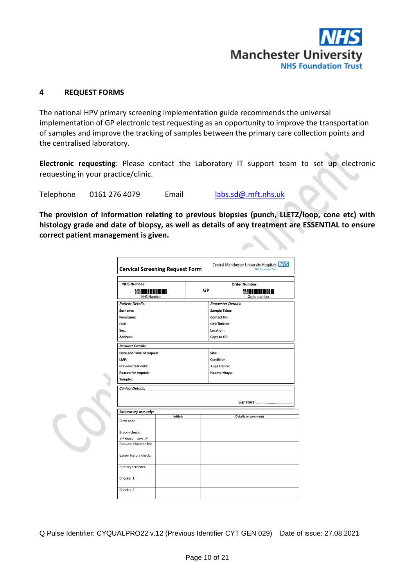

#### **4 REQUEST FORMS**

The national HPV primary screening implementation guide recommends the universal implementation of GP electronic test requesting as an opportunity to improve the transportation of samples and improve the tracking of samples between the primary care collection points and the centralised laboratory.

**Electronic requesting**: Please contact the Laboratory IT support team to set up electronic requesting in your practice/clinic.

Telephone 0161 276 4079 Email [labs.sd@.mft.nhs.uk](mailto:labs.sd@.mft.nhs.uk)

**The provision of information relating to previous biopsies (punch, LLETZ/loop, cone etc) with histology grade and date of biopsy, as well as details of any treatment are ESSENTIAL to ensure correct patient management is given.**

| Central Manchester University Hospitals NHS<br><b>Cervical Screening Request Form</b><br><b>NHS Foundation Trust</b> |                 |    |                           |                                                                          |
|----------------------------------------------------------------------------------------------------------------------|-----------------|----|---------------------------|--------------------------------------------------------------------------|
| <b>NHS Number:</b><br><b>Case IIIIIIIIII</b><br><b>NHS Number</b>                                                    |                 | GP |                           | <b>Order Number:</b><br>Demo                            <br>Order number |
| <b>Patient Details:</b>                                                                                              |                 |    | <b>Requester Details:</b> |                                                                          |
| Surname:                                                                                                             |                 |    | <b>Sample Taker:</b>      |                                                                          |
| Forename:                                                                                                            |                 |    | <b>Contact No:</b>        |                                                                          |
| DOB:                                                                                                                 |                 |    | GP/Clinician:             |                                                                          |
| Sex:                                                                                                                 |                 |    | Location:                 |                                                                          |
| Address:                                                                                                             |                 |    | Copy to GP:               |                                                                          |
| <b>Request Details:</b>                                                                                              |                 |    |                           |                                                                          |
| Date and Time of request:                                                                                            |                 |    | Site:                     |                                                                          |
| LMP:                                                                                                                 |                 |    | Condition:                |                                                                          |
| Previous test date:                                                                                                  |                 |    | Appearance:               |                                                                          |
| <b>Reason for request:</b>                                                                                           |                 |    | Haemorrhage:              |                                                                          |
| Sampler:<br><b>Clinical Details:</b>                                                                                 |                 |    |                           |                                                                          |
|                                                                                                                      |                 |    |                           |                                                                          |
| Laboratory use only:                                                                                                 |                 |    |                           |                                                                          |
|                                                                                                                      | <b>Initials</b> |    |                           | <b>Details or comments</b>                                               |
| Error code:                                                                                                          |                 |    |                           |                                                                          |
| Broom check:                                                                                                         |                 |    |                           |                                                                          |
| $2^{nd}$ check - HPV $1^{\circ}$                                                                                     |                 |    |                           |                                                                          |
| Request allocated by:                                                                                                |                 |    |                           |                                                                          |
| Exeter history check:                                                                                                |                 |    |                           |                                                                          |
| Primary screener:                                                                                                    |                 |    |                           |                                                                          |
| Checker 1:                                                                                                           |                 |    |                           |                                                                          |
|                                                                                                                      |                 |    |                           |                                                                          |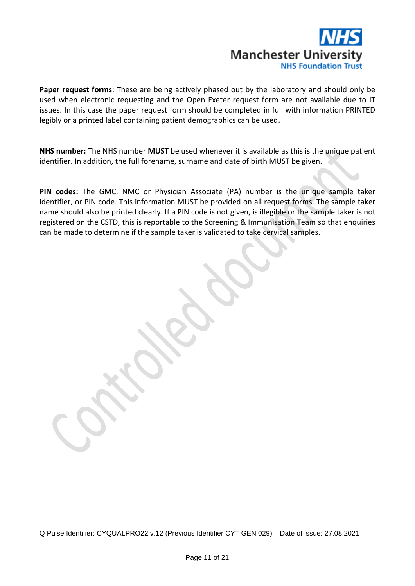

**Paper request forms**: These are being actively phased out by the laboratory and should only be used when electronic requesting and the Open Exeter request form are not available due to IT issues. In this case the paper request form should be completed in full with information PRINTED legibly or a printed label containing patient demographics can be used.

**NHS number:** The NHS number **MUST** be used whenever it is available as this is the unique patient identifier. In addition, the full forename, surname and date of birth MUST be given.

**PIN codes:** The GMC, NMC or Physician Associate (PA) number is the unique sample taker identifier, or PIN code. This information MUST be provided on all request forms. The sample taker name should also be printed clearly. If a PIN code is not given, is illegible or the sample taker is not registered on the CSTD, this is reportable to the Screening & Immunisation Team so that enquiries can be made to determine if the sample taker is validated to take cervical samples.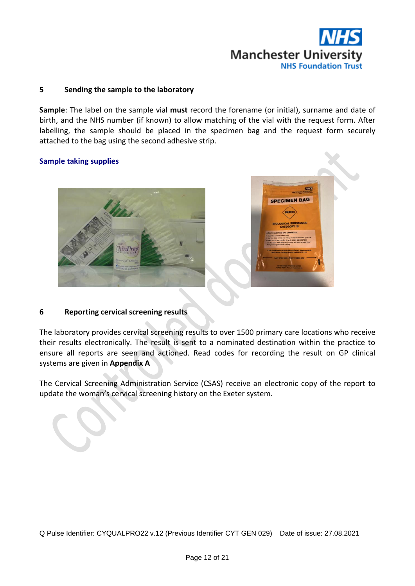

#### **5 Sending the sample to the laboratory**

**Sample**: The label on the sample vial **must** record the forename (or initial), surname and date of birth, and the NHS number (if known) to allow matching of the vial with the request form. After labelling, the sample should be placed in the specimen bag and the request form securely attached to the bag using the second adhesive strip.

#### **Sample taking supplies**



#### **6 Reporting cervical screening results**

The laboratory provides cervical screening results to over 1500 primary care locations who receive their results electronically. The result is sent to a nominated destination within the practice to ensure all reports are seen and actioned. Read codes for recording the result on GP clinical systems are given in **Appendix A**

The Cervical Screening Administration Service (CSAS) receive an electronic copy of the report to update the woman's cervical screening history on the Exeter system.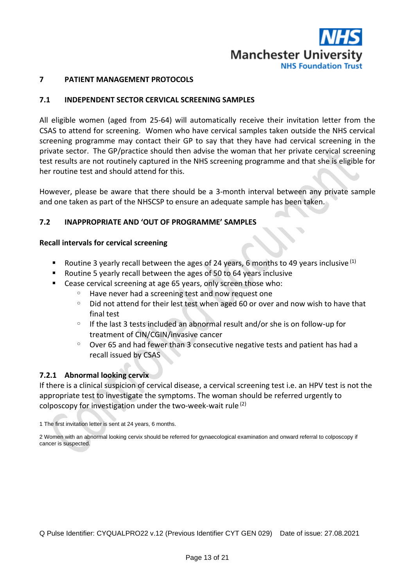

#### **7 PATIENT MANAGEMENT PROTOCOLS**

#### **7.1 INDEPENDENT SECTOR CERVICAL SCREENING SAMPLES**

All eligible women (aged from 25-64) will automatically receive their invitation letter from the CSAS to attend for screening. Women who have cervical samples taken outside the NHS cervical screening programme may contact their GP to say that they have had cervical screening in the private sector. The GP/practice should then advise the woman that her private cervical screening test results are not routinely captured in the NHS screening programme and that she is eligible for her routine test and should attend for this.

However, please be aware that there should be a 3-month interval between any private sample and one taken as part of the NHSCSP to ensure an adequate sample has been taken.

#### **7.2 INAPPROPRIATE AND 'OUT OF PROGRAMME' SAMPLES**

#### **Recall intervals for cervical screening**

- **E** Routine 3 yearly recall between the ages of 24 years, 6 months to 49 years inclusive  $(1)$
- Routine 5 yearly recall between the ages of 50 to 64 years inclusive
- Cease cervical screening at age 65 years, only screen those who:
	- Have never had a screening test and now request one
	- $\degree$  Did not attend for their lest test when aged 60 or over and now wish to have that final test
	- $\circ$  If the last 3 tests included an abnormal result and/or she is on follow-up for treatment of CIN/CGIN/invasive cancer
	- $\degree$  Over 65 and had fewer than 3 consecutive negative tests and patient has had a recall issued by CSAS

#### **7.2.1 Abnormal looking cervix**

If there is a clinical suspicion of cervical disease, a cervical screening test i.e. an HPV test is not the appropriate test to investigate the symptoms. The woman should be referred urgently to colposcopy for investigation under the two-week-wait rule  $(2)$ 

1 The first invitation letter is sent at 24 years, 6 months.

2 Women with an abnormal looking cervix should be referred for gynaecological examination and onward referral to colposcopy if cancer is suspected.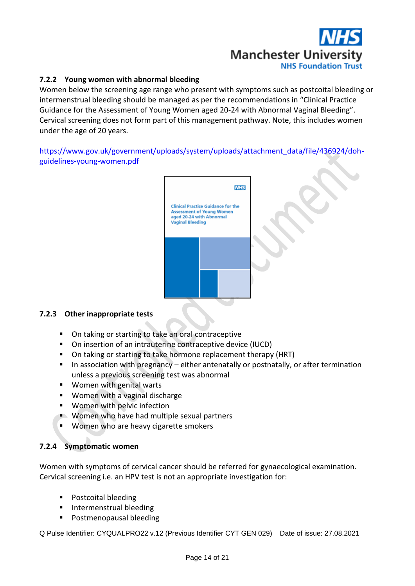

#### **7.2.2 Young women with abnormal bleeding**

Women below the screening age range who present with symptoms such as postcoital bleeding or intermenstrual bleeding should be managed as per the recommendations in "Clinical Practice Guidance for the Assessment of Young Women aged 20-24 with Abnormal Vaginal Bleeding". Cervical screening does not form part of this management pathway. Note, this includes women under the age of 20 years.

[https://www.gov.uk/government/uploads/system/uploads/attachment\\_data/file/436924/doh](https://www.gov.uk/government/uploads/system/uploads/attachment_data/file/436924/doh-guidelines-young-women.pdf)[guidelines-young-women.pdf](https://www.gov.uk/government/uploads/system/uploads/attachment_data/file/436924/doh-guidelines-young-women.pdf)



#### **7.2.3 Other inappropriate tests**

- On taking or starting to take an oral contraceptive
- On insertion of an intrauterine contraceptive device (IUCD)
- On taking or starting to take hormone replacement therapy (HRT)
- In association with pregnancy either antenatally or postnatally, or after termination unless a previous screening test was abnormal
- Women with genital warts
- Women with a vaginal discharge
- Women with pelvic infection
- Women who have had multiple sexual partners
- Women who are heavy cigarette smokers

#### **7.2.4 Symptomatic women**

Women with symptoms of cervical cancer should be referred for gynaecological examination. Cervical screening i.e. an HPV test is not an appropriate investigation for:

- **Postcoital bleeding**
- **·** Intermenstrual bleeding
- Postmenopausal bleeding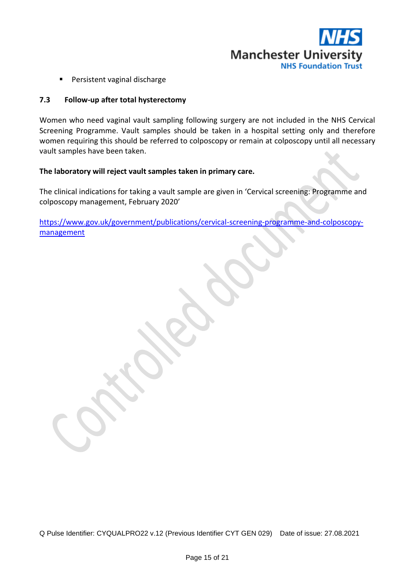

■ Persistent vaginal discharge

#### **7.3 Follow-up after total hysterectomy**

Women who need vaginal vault sampling following surgery are not included in the NHS Cervical Screening Programme. Vault samples should be taken in a hospital setting only and therefore women requiring this should be referred to colposcopy or remain at colposcopy until all necessary vault samples have been taken.

#### **The laboratory will reject vault samples taken in primary care.**

The clinical indications for taking a vault sample are given in 'Cervical screening: Programme and colposcopy management, February 2020'

[https://www.gov.uk/government/publications/cervical-screening-programme-and-colposcopy](https://www.gov.uk/government/publications/cervical-screening-programme-and-colposcopy-management)[management](https://www.gov.uk/government/publications/cervical-screening-programme-and-colposcopy-management)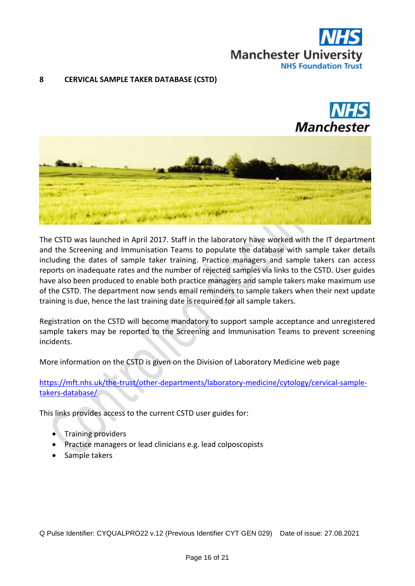

#### **8 CERVICAL SAMPLE TAKER DATABASE (CSTD)**





The CSTD was launched in April 2017. Staff in the laboratory have worked with the IT department and the Screening and Immunisation Teams to populate the database with sample taker details including the dates of sample taker training. Practice managers and sample takers can access reports on inadequate rates and the number of rejected samples via links to the CSTD. User guides have also been produced to enable both practice managers and sample takers make maximum use of the CSTD. The department now sends email reminders to sample takers when their next update training is due, hence the last training date is required for all sample takers.

Registration on the CSTD will become mandatory to support sample acceptance and unregistered sample takers may be reported to the Screening and Immunisation Teams to prevent screening incidents.

More information on the CSTD is given on the Division of Laboratory Medicine web page

[https://mft.nhs.uk/the-trust/other-departments/laboratory-medicine/cytology/cervical-sample](https://mft.nhs.uk/the-trust/other-departments/laboratory-medicine/cytology/cervical-sample-takers-database/)[takers-database/](https://mft.nhs.uk/the-trust/other-departments/laboratory-medicine/cytology/cervical-sample-takers-database/)

This links provides access to the current CSTD user guides for:

- Training providers
- Practice managers or lead clinicians e.g. lead colposcopists
- Sample takers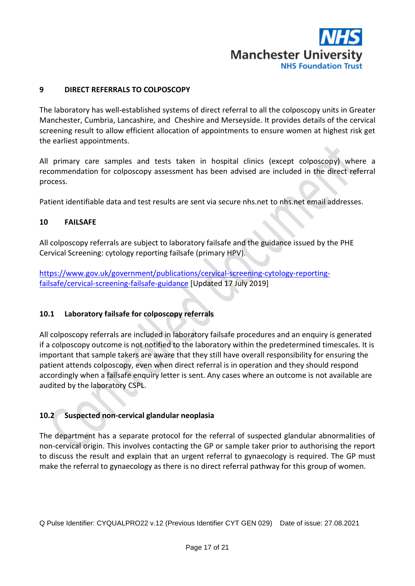

#### **9 DIRECT REFERRALS TO COLPOSCOPY**

The laboratory has well-established systems of direct referral to all the colposcopy units in Greater Manchester, Cumbria, Lancashire, and Cheshire and Merseyside. It provides details of the cervical screening result to allow efficient allocation of appointments to ensure women at highest risk get the earliest appointments.

All primary care samples and tests taken in hospital clinics (except colposcopy) where a recommendation for colposcopy assessment has been advised are included in the direct referral process.

Patient identifiable data and test results are sent via secure nhs.net to nhs.net email addresses.

#### **10 FAILSAFE**

All colposcopy referrals are subject to laboratory failsafe and the guidance issued by the PHE Cervical Screening: cytology reporting failsafe (primary HPV).

[https://www.gov.uk/government/publications/cervical-screening-cytology-reporting](https://www.gov.uk/government/publications/cervical-screening-cytology-reporting-failsafe/cervical-screening-failsafe-guidance)[failsafe/cervical-screening-failsafe-guidance](https://www.gov.uk/government/publications/cervical-screening-cytology-reporting-failsafe/cervical-screening-failsafe-guidance) [Updated 17 July 2019]

#### **10.1 Laboratory failsafe for colposcopy referrals**

All colposcopy referrals are included in laboratory failsafe procedures and an enquiry is generated if a colposcopy outcome is not notified to the laboratory within the predetermined timescales. It is important that sample takers are aware that they still have overall responsibility for ensuring the patient attends colposcopy, even when direct referral is in operation and they should respond accordingly when a failsafe enquiry letter is sent. Any cases where an outcome is not available are audited by the laboratory CSPL.

#### **10.2 Suspected non-cervical glandular neoplasia**

The department has a separate protocol for the referral of suspected glandular abnormalities of non-cervical origin. This involves contacting the GP or sample taker prior to authorising the report to discuss the result and explain that an urgent referral to gynaecology is required. The GP must make the referral to gynaecology as there is no direct referral pathway for this group of women.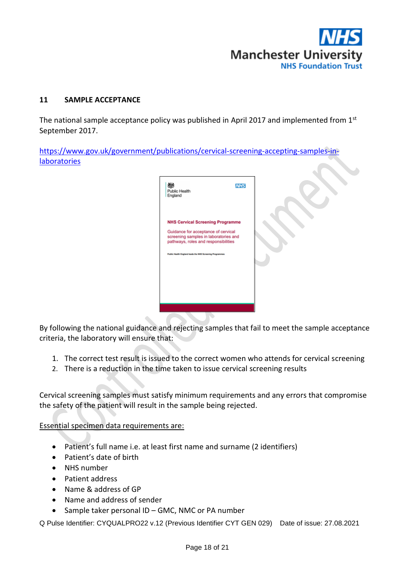

#### **11 SAMPLE ACCEPTANCE**

The national sample acceptance policy was published in April 2017 and implemented from 1st September 2017.

[https://www.gov.uk/government/publications/cervical-screening-accepting-samples-in](https://www.gov.uk/government/publications/cervical-screening-accepting-samples-in-laboratories)[laboratories](https://www.gov.uk/government/publications/cervical-screening-accepting-samples-in-laboratories)



By following the national guidance and rejecting samples that fail to meet the sample acceptance criteria, the laboratory will ensure that:

- 1. The correct test result is issued to the correct women who attends for cervical screening
- 2. There is a reduction in the time taken to issue cervical screening results

Cervical screening samples must satisfy minimum requirements and any errors that compromise the safety of the patient will result in the sample being rejected.

Essential specimen data requirements are:

- Patient's full name i.e. at least first name and surname (2 identifiers)
- Patient's date of birth
- NHS number
- Patient address
- Name & address of GP
- Name and address of sender
- Sample taker personal ID GMC, NMC or PA number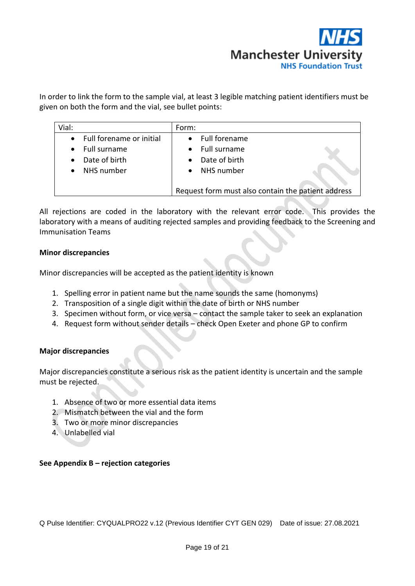

In order to link the form to the sample vial, at least 3 legible matching patient identifiers must be given on both the form and the vial, see bullet points:

| Vial:     |                          | Form:                                              |
|-----------|--------------------------|----------------------------------------------------|
| $\bullet$ | Full forename or initial | <b>Full forename</b>                               |
| $\bullet$ | Full surname             | Full surname                                       |
|           | Date of birth            | Date of birth                                      |
|           | NHS number               | NHS number                                         |
|           |                          |                                                    |
|           |                          | Request form must also contain the patient address |

All rejections are coded in the laboratory with the relevant error code. This provides the laboratory with a means of auditing rejected samples and providing feedback to the Screening and Immunisation Teams

#### **Minor discrepancies**

Minor discrepancies will be accepted as the patient identity is known

- 1. Spelling error in patient name but the name sounds the same (homonyms)
- 2. Transposition of a single digit within the date of birth or NHS number
- 3. Specimen without form, or vice versa contact the sample taker to seek an explanation
- 4. Request form without sender details check Open Exeter and phone GP to confirm

#### **Major discrepancies**

Major discrepancies constitute a serious risk as the patient identity is uncertain and the sample must be rejected.

- 1. Absence of two or more essential data items
- 2. Mismatch between the vial and the form
- 3. Two or more minor discrepancies
- 4. Unlabelled vial

#### **See Appendix B – rejection categories**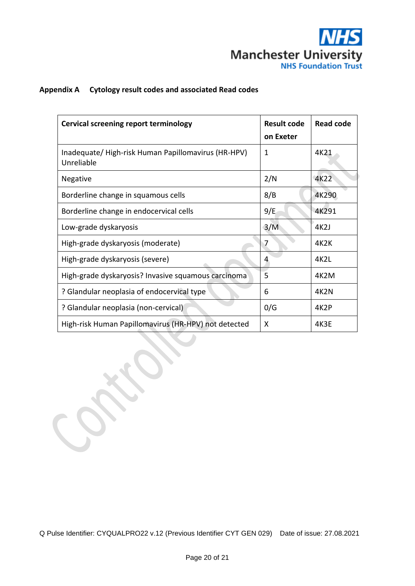

### **Appendix A Cytology result codes and associated Read codes**

| Cervical screening report terminology                             | <b>Result code</b><br>on Exeter | <b>Read code</b> |
|-------------------------------------------------------------------|---------------------------------|------------------|
| Inadequate/ High-risk Human Papillomavirus (HR-HPV)<br>Unreliable | 1                               | 4K21             |
| <b>Negative</b>                                                   | 2/N                             | 4K22             |
| Borderline change in squamous cells                               | 8/B                             | 4K290            |
| Borderline change in endocervical cells                           | 9/E                             | 4K291            |
| Low-grade dyskaryosis                                             | 3/M                             | 4K2J             |
| High-grade dyskaryosis (moderate)                                 | 7                               | 4K2K             |
| High-grade dyskaryosis (severe)                                   | 4                               | 4K2L             |
| High-grade dyskaryosis? Invasive squamous carcinoma               | 5                               | 4K2M             |
| ? Glandular neoplasia of endocervical type                        | 6                               | 4K2N             |
| ? Glandular neoplasia (non-cervical)                              | 0/G                             | 4K2P             |
| High-risk Human Papillomavirus (HR-HPV) not detected              | X                               | 4K3E             |